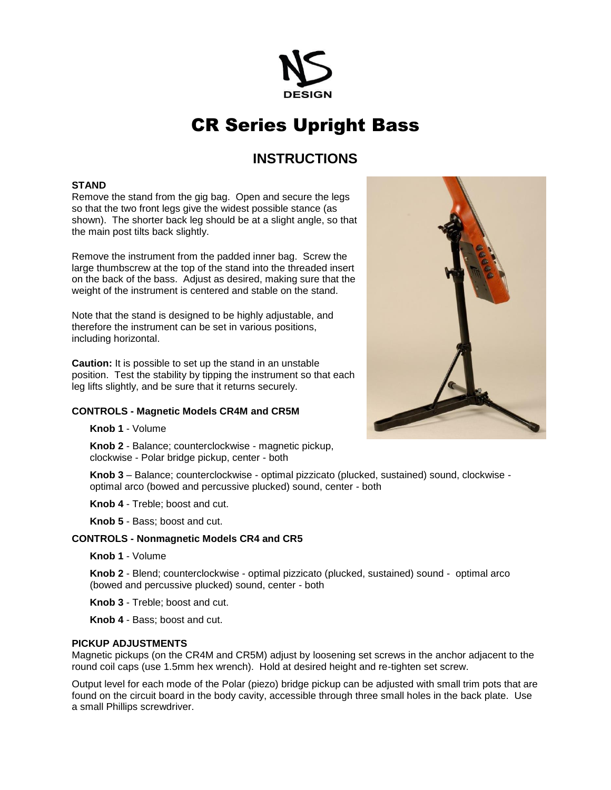

# CR Series Upright Bass

## **INSTRUCTIONS**

#### **STAND**

Remove the stand from the gig bag. Open and secure the legs so that the two front legs give the widest possible stance (as shown). The shorter back leg should be at a slight angle, so that the main post tilts back slightly.

Remove the instrument from the padded inner bag. Screw the large thumbscrew at the top of the stand into the threaded insert on the back of the bass. Adjust as desired, making sure that the weight of the instrument is centered and stable on the stand.

Note that the stand is designed to be highly adjustable, and therefore the instrument can be set in various positions, including horizontal.

**Caution:** It is possible to set up the stand in an unstable position. Test the stability by tipping the instrument so that each leg lifts slightly, and be sure that it returns securely.

#### **CONTROLS - Magnetic Models CR4M and CR5M**

**Knob 1** - Volume

**Knob 2** - Balance; counterclockwise - magnetic pickup, clockwise - Polar bridge pickup, center - both

**Knob 3** – Balance; counterclockwise - optimal pizzicato (plucked, sustained) sound, clockwise optimal arco (bowed and percussive plucked) sound, center - both

**Knob 4** - Treble; boost and cut.

**Knob 5** - Bass; boost and cut.

#### **CONTROLS - Nonmagnetic Models CR4 and CR5**

**Knob 1** - Volume

**Knob 2** - Blend; counterclockwise - optimal pizzicato (plucked, sustained) sound - optimal arco (bowed and percussive plucked) sound, center - both

**Knob 3** - Treble; boost and cut.

**Knob 4** - Bass; boost and cut.

#### **PICKUP ADJUSTMENTS**

Magnetic pickups (on the CR4M and CR5M) adjust by loosening set screws in the anchor adjacent to the round coil caps (use 1.5mm hex wrench). Hold at desired height and re-tighten set screw.

Output level for each mode of the Polar (piezo) bridge pickup can be adjusted with small trim pots that are found on the circuit board in the body cavity, accessible through three small holes in the back plate. Use a small Phillips screwdriver.

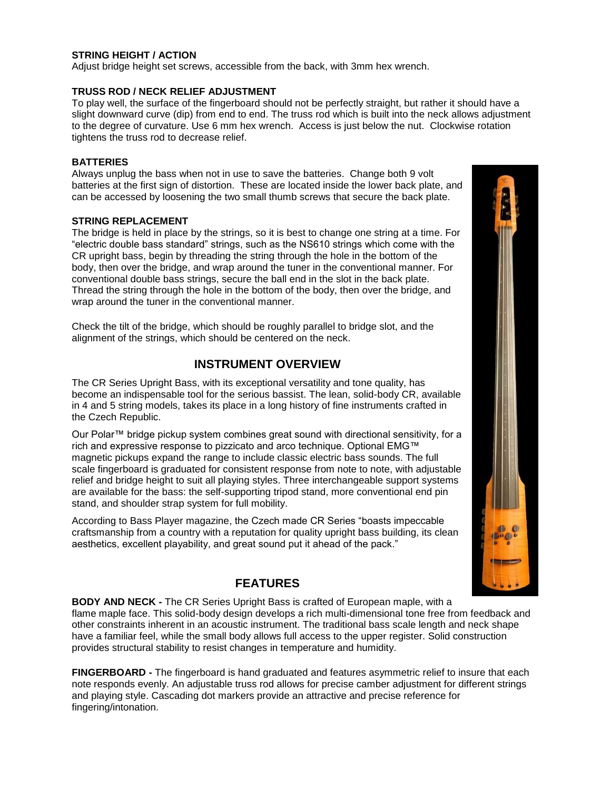#### **STRING HEIGHT / ACTION**

Adjust bridge height set screws, accessible from the back, with 3mm hex wrench.

#### **TRUSS ROD / NECK RELIEF ADJUSTMENT**

To play well, the surface of the fingerboard should not be perfectly straight, but rather it should have a slight downward curve (dip) from end to end. The truss rod which is built into the neck allows adjustment to the degree of curvature. Use 6 mm hex wrench. Access is just below the nut. Clockwise rotation tightens the truss rod to decrease relief.

#### **BATTERIES**

Always unplug the bass when not in use to save the batteries. Change both 9 volt batteries at the first sign of distortion. These are located inside the lower back plate, and can be accessed by loosening the two small thumb screws that secure the back plate.

#### **STRING REPLACEMENT**

The bridge is held in place by the strings, so it is best to change one string at a time. For "electric double bass standard" strings, such as the NS610 strings which come with the CR upright bass, begin by threading the string through the hole in the bottom of the body, then over the bridge, and wrap around the tuner in the conventional manner. For conventional double bass strings, secure the ball end in the slot in the back plate. Thread the string through the hole in the bottom of the body, then over the bridge, and wrap around the tuner in the conventional manner.

Check the tilt of the bridge, which should be roughly parallel to bridge slot, and the alignment of the strings, which should be centered on the neck.

### **INSTRUMENT OVERVIEW**

The CR Series Upright Bass, with its exceptional versatility and tone quality, has become an indispensable tool for the serious bassist. The lean, solid-body CR, available in 4 and 5 string models, takes its place in a long history of fine instruments crafted in the Czech Republic.

Our Polar™ bridge pickup system combines great sound with directional sensitivity, for a rich and expressive response to pizzicato and arco technique. Optional EMG™ magnetic pickups expand the range to include classic electric bass sounds. The full scale fingerboard is graduated for consistent response from note to note, with adjustable relief and bridge height to suit all playing styles. Three interchangeable support systems are available for the bass: the self-supporting tripod stand, more conventional end pin stand, and shoulder strap system for full mobility.

According to Bass Player magazine, the Czech made CR Series "boasts impeccable craftsmanship from a country with a reputation for quality upright bass building, its clean aesthetics, excellent playability, and great sound put it ahead of the pack."



**BODY AND NECK -** The CR Series Upright Bass is crafted of European maple, with a flame maple face. This solid-body design develops a rich multi-dimensional tone free from feedback and other constraints inherent in an acoustic instrument. The traditional bass scale length and neck shape have a familiar feel, while the small body allows full access to the upper register. Solid construction provides structural stability to resist changes in temperature and humidity.

**FINGERBOARD -** The fingerboard is hand graduated and features asymmetric relief to insure that each note responds evenly. An adjustable truss rod allows for precise camber adjustment for different strings and playing style. Cascading dot markers provide an attractive and precise reference for fingering/intonation.